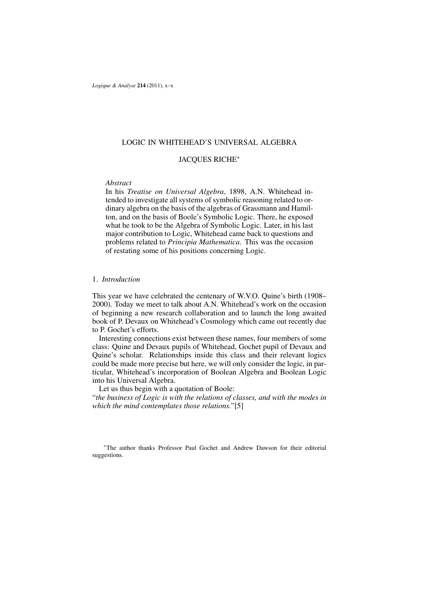*Logique & Analyse* **214** (2011), x–x

## LOGIC IN WHITEHEAD'S UNIVERSAL ALGEBRA

# JACQUES RICHE<sup>∗</sup>

## *Abstract*

In his *Treatise on Universal Algebra*, 1898, A.N. Whitehead intended to investigate all systems of symbolic reasoning related to ordinary algebra on the basis of the algebras of Grassmann and Hamilton, and on the basis of Boole's Symbolic Logic. There, he exposed what he took to be the Algebra of Symbolic Logic. Later, in his last major contribution to Logic, Whitehead came back to questions and problems related to *Principia Mathematica*. This was the occasion of restating some of his positions concerning Logic.

### 1. *Introduction*

This year we have celebrated the centenary of W.V.O. Quine's birth (1908– 2000). Today we meet to talk about A.N. Whitehead's work on the occasion of beginning a new research collaboration and to launch the long awaited book of P. Devaux on Whitehead's Cosmology which came out recently due to P. Gochet's efforts.

Interesting connections exist between these names, four members of some class: Quine and Devaux pupils of Whitehead, Gochet pupil of Devaux and Quine's scholar. Relationships inside this class and their relevant logics could be made more precise but here, we will only consider the logic, in particular, Whitehead's incorporation of Boolean Algebra and Boolean Logic into his Universal Algebra.

Let us thus begin with a quotation of Boole:

"*the business of Logic is with the relations of classes, and with the modes in which the mind contemplates those relations.*"[5]

<sup>∗</sup>The author thanks Professor Paul Gochet and Andrew Dawson for their editorial suggestions.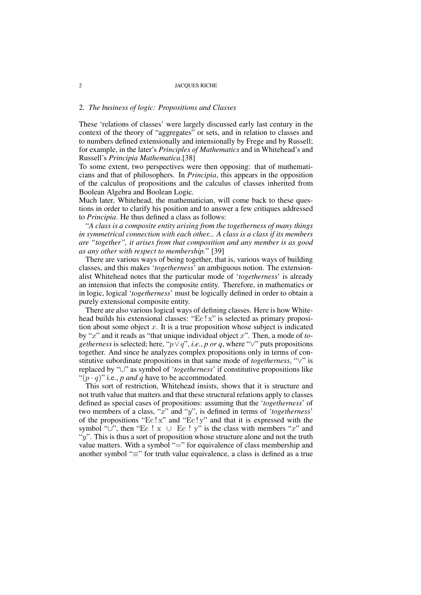# 2. *The business of logic: Propositions and Classes*

These 'relations of classes' were largely discussed early last century in the context of the theory of "aggregates" or sets, and in relation to classes and to numbers defined extensionally and intensionally by Frege and by Russell; for example, in the later's *Principles of Mathematics* and in Whitehead's and Russell's *Principia Mathematica*.[38]

To some extent, two perspectives were then opposing: that of mathematicians and that of philosophers. In *Principia*, this appears in the opposition of the calculus of propositions and the calculus of classes inherited from Boolean Algebra and Boolean Logic.

Much later, Whitehead, the mathematician, will come back to these questions in order to clarify his position and to answer a few critiques addressed to *Principia*. He thus defined a class as follows:

"*A class is a composite entity arising from the togetherness of many things in symmetrical connection with each other... A class is a class if its members are "together", it arises from that composition and any member is as good as any other with respect to membership.*" [39]

There are various ways of being together, that is, various ways of building classes, and this makes '*togetherness*' an ambiguous notion. The extensionalist Whitehead notes that the particular mode of '*togetherness*' is already an intension that infects the composite entity. Therefore, in mathematics or in logic, logical '*togetherness*' must be logically defined in order to obtain a purely extensional composite entity.

There are also various logical ways of defining classes. Here is how Whitehead builds his extensional classes: "Ec ! x" is selected as primary proposition about some object  $x$ . It is a true proposition whose subject is indicated by "x" and it reads as "that unique individual object x". Then, a mode of *togetherness* is selected; here, " $p \vee q$ ", *i.e.*, *p or q*, where " $\vee$ " puts propositions together. And since he analyzes complex propositions only in terms of constitutive subordinate propositions in that same mode of *togetherness*, "∨" is replaced by "∪" as symbol of '*togetherness*' if constitutive propositions like " $(p \cdot q)$ " i.e., *p and q* have to be accommodated.

This sort of restriction, Whitehead insists, shows that it is structure and not truth value that matters and that these structural relations apply to classes defined as special cases of propositions: assuming that the '*togetherness*' of two members of a class, "x" and "y", is defined in terms of '*togetherness*' of the propositions "Ec!x" and "Ec!y" and that it is expressed with the symbol "∪", then "Ec ! x ∪ Ec ! y" is the class with members "x" and " $y$ ". This is thus a sort of proposition whose structure alone and not the truth value matters. With a symbol "=" for equivalence of class membership and another symbol "≡" for truth value equivalence, a class is defined as a true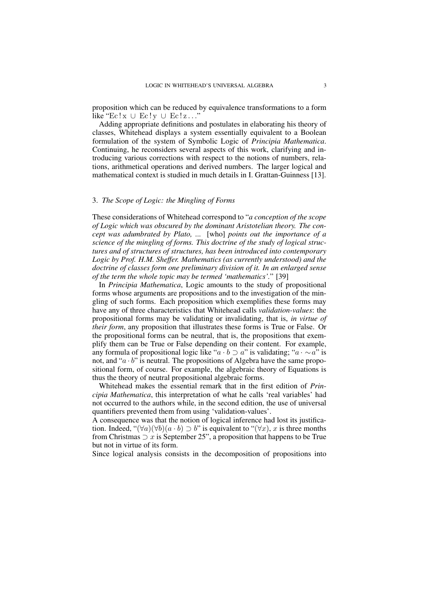proposition which can be reduced by equivalence transformations to a form like " $\operatorname{Ec}!x \cup \operatorname{Ec}!y \cup \operatorname{Ec}!z...$ "

Adding appropriate definitions and postulates in elaborating his theory of classes, Whitehead displays a system essentially equivalent to a Boolean formulation of the system of Symbolic Logic of *Principia Mathematica*. Continuing, he reconsiders several aspects of this work, clarifying and introducing various corrections with respect to the notions of numbers, relations, arithmetical operations and derived numbers. The larger logical and mathematical context is studied in much details in I. Grattan-Guinness [13].

## 3. *The Scope of Logic: the Mingling of Forms*

These considerations of Whitehead correspond to "*a conception of the scope of Logic which was obscured by the dominant Aristotelian theory. The concept was adumbrated by Plato, ...* [who] *points out the importance of a science of the mingling of forms. This doctrine of the study of logical structures and of structures of structures, has been introduced into contemporary Logic by Prof. H.M. Sheffer. Mathematics (as currently understood) and the doctrine of classes form one preliminary division of it. In an enlarged sense of the term the whole topic may be termed 'mathematics'.*" [39]

In *Principia Mathematica*, Logic amounts to the study of propositional forms whose arguments are propositions and to the investigation of the mingling of such forms. Each proposition which exemplifies these forms may have any of three characteristics that Whitehead calls *validation-values*: the propositional forms may be validating or invalidating, that is, *in virtue of their form*, any proposition that illustrates these forms is True or False. Or the propositional forms can be neutral, that is, the propositions that exemplify them can be True or False depending on their content. For example, any formula of propositional logic like " $a \cdot b \supset a$ " is validating; " $a \cdot \sim a$ " is not, and " $a \cdot b$ " is neutral. The propositions of Algebra have the same propositional form, of course. For example, the algebraic theory of Equations is thus the theory of neutral propositional algebraic forms.

Whitehead makes the essential remark that in the first edition of *Principia Mathematica*, this interpretation of what he calls 'real variables' had not occurred to the authors while, in the second edition, the use of universal quantifiers prevented them from using 'validation-values'.

A consequence was that the notion of logical inference had lost its justification. Indeed, " $(\forall a)(\forall b)(a \cdot b) \supset b"$  is equivalent to " $(\forall x)$ , x is three months from Christmas  $\supset x$  is September 25", a proposition that happens to be True but not in virtue of its form.

Since logical analysis consists in the decomposition of propositions into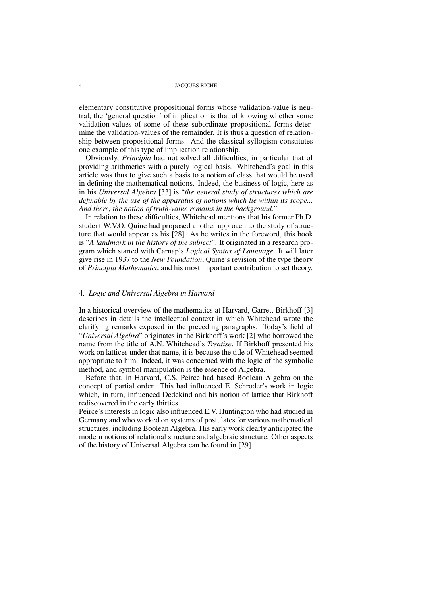elementary constitutive propositional forms whose validation-value is neutral, the 'general question' of implication is that of knowing whether some validation-values of some of these subordinate propositional forms determine the validation-values of the remainder. It is thus a question of relationship between propositional forms. And the classical syllogism constitutes one example of this type of implication relationship.

Obviously, *Principia* had not solved all difficulties, in particular that of providing arithmetics with a purely logical basis. Whitehead's goal in this article was thus to give such a basis to a notion of class that would be used in defining the mathematical notions. Indeed, the business of logic, here as in his *Universal Algebra* [33] is "*the general study of structures which are definable by the use of the apparatus of notions which lie within its scope... And there, the notion of truth-value remains in the background.*"

In relation to these difficulties, Whitehead mentions that his former Ph.D. student W.V.O. Quine had proposed another approach to the study of structure that would appear as his [28]. As he writes in the foreword, this book is "*A landmark in the history of the subject*". It originated in a research program which started with Carnap's *Logical Syntax of Language*. It will later give rise in 1937 to the *New Foundation*, Quine's revision of the type theory of *Principia Mathematica* and his most important contribution to set theory.

### 4. *Logic and Universal Algebra in Harvard*

In a historical overview of the mathematics at Harvard, Garrett Birkhoff [3] describes in details the intellectual context in which Whitehead wrote the clarifying remarks exposed in the preceding paragraphs. Today's field of "*Universal Algebra*" originates in the Birkhoff's work [2] who borrowed the name from the title of A.N. Whitehead's *Treatise*. If Birkhoff presented his work on lattices under that name, it is because the title of Whitehead seemed appropriate to him. Indeed, it was concerned with the logic of the symbolic method, and symbol manipulation is the essence of Algebra.

Before that, in Harvard, C.S. Peirce had based Boolean Algebra on the concept of partial order. This had influenced E. Schröder's work in logic which, in turn, influenced Dedekind and his notion of lattice that Birkhoff rediscovered in the early thirties.

Peirce's interests in logic also influenced E.V. Huntington who had studied in Germany and who worked on systems of postulates for various mathematical structures, including Boolean Algebra. His early work clearly anticipated the modern notions of relational structure and algebraic structure. Other aspects of the history of Universal Algebra can be found in [29].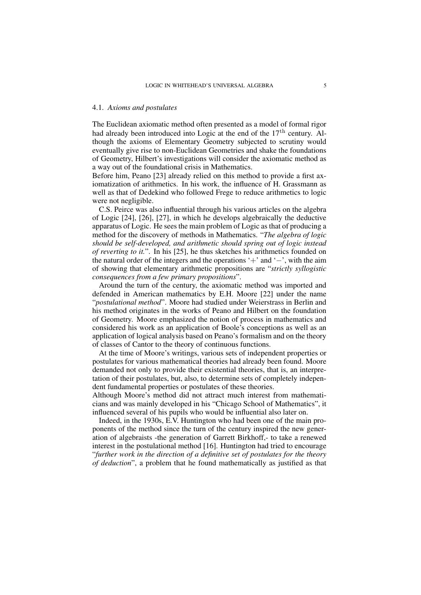# 4.1. *Axioms and postulates*

The Euclidean axiomatic method often presented as a model of formal rigor had already been introduced into Logic at the end of the  $17<sup>th</sup>$  century. Although the axioms of Elementary Geometry subjected to scrutiny would eventually give rise to non-Euclidean Geometries and shake the foundations of Geometry, Hilbert's investigations will consider the axiomatic method as a way out of the foundational crisis in Mathematics.

Before him, Peano [23] already relied on this method to provide a first axiomatization of arithmetics. In his work, the influence of H. Grassmann as well as that of Dedekind who followed Frege to reduce arithmetics to logic were not negligible.

C.S. Peirce was also influential through his various articles on the algebra of Logic [24], [26], [27], in which he develops algebraically the deductive apparatus of Logic. He sees the main problem of Logic as that of producing a method for the discovery of methods in Mathematics. "*The algebra of logic should be self-developed, and arithmetic should spring out of logic instead of reverting to it.*". In his [25], he thus sketches his arithmetics founded on the natural order of the integers and the operations '+' and ' $-$ ', with the aim of showing that elementary arithmetic propositions are "*strictly syllogistic consequences from a few primary propositions*".

Around the turn of the century, the axiomatic method was imported and defended in American mathematics by E.H. Moore [22] under the name "*postulational method*". Moore had studied under Weierstrass in Berlin and his method originates in the works of Peano and Hilbert on the foundation of Geometry. Moore emphasized the notion of process in mathematics and considered his work as an application of Boole's conceptions as well as an application of logical analysis based on Peano's formalism and on the theory of classes of Cantor to the theory of continuous functions.

At the time of Moore's writings, various sets of independent properties or postulates for various mathematical theories had already been found. Moore demanded not only to provide their existential theories, that is, an interpretation of their postulates, but, also, to determine sets of completely independent fundamental properties or postulates of these theories.

Although Moore's method did not attract much interest from mathematicians and was mainly developed in his "Chicago School of Mathematics", it influenced several of his pupils who would be influential also later on.

Indeed, in the 1930s, E.V. Huntington who had been one of the main proponents of the method since the turn of the century inspired the new generation of algebraists -the generation of Garrett Birkhoff,- to take a renewed interest in the postulational method [16]. Huntington had tried to encourage "*further work in the direction of a definitive set of postulates for the theory of deduction*", a problem that he found mathematically as justified as that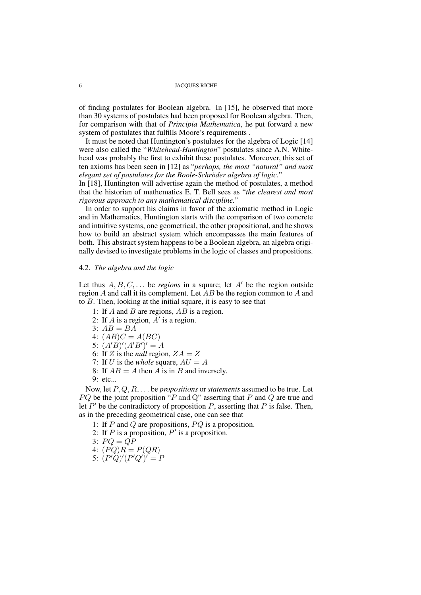of finding postulates for Boolean algebra. In [15], he observed that more than 30 systems of postulates had been proposed for Boolean algebra. Then, for comparison with that of *Principia Mathematica*, he put forward a new system of postulates that fulfills Moore's requirements.

It must be noted that Huntington's postulates for the algebra of Logic [14] were also called the "*Whitehead-Huntington*" postulates since A.N. Whitehead was probably the first to exhibit these postulates. Moreover, this set of ten axioms has been seen in [12] as "*perhaps, the most "natural" and most elegant set of postulates for the Boole-Schröder algebra of logic.*"

In [18], Huntington will advertise again the method of postulates, a method that the historian of mathematics E. T. Bell sees as "*the clearest and most rigorous approach to any mathematical discipline.*"

In order to support his claims in favor of the axiomatic method in Logic and in Mathematics, Huntington starts with the comparison of two concrete and intuitive systems, one geometrical, the other propositional, and he shows how to build an abstract system which encompasses the main features of both. This abstract system happens to be a Boolean algebra, an algebra originally devised to investigate problems in the logic of classes and propositions.

## 4.2. *The algebra and the logic*

Let thus  $A, B, C, \ldots$  be *regions* in a square; let  $A'$  be the region outside region A and call it its complement. Let  $\overline{AB}$  be the region common to A and to B. Then, looking at the initial square, it is easy to see that

- 1: If  $A$  and  $B$  are regions,  $AB$  is a region.
- 2: If A is a region,  $A'$  is a region.
- 3:  $AB = BA$
- 4:  $(AB)C = A(BC)$
- 5:  $(A'B)'(A'B')' = A$
- 6: If Z is the *null* region,  $ZA = Z$
- 7: If U is the *whole* square,  $AU = A$
- 8: If  $AB = A$  then A is in B and inversely.
- 9: etc...

Now, let P, Q, R, . . . be *propositions* or *statements* assumed to be true. Let  $PQ$  be the joint proposition " $P$  and  $Q$ " asserting that  $P$  and  $Q$  are true and Let  $P'$  be the contradictory of proposition  $P$ , asserting that  $P$  is false. Then, as in the preceding geometrical case, one can see that

- 1: If  $P$  and  $Q$  are propositions,  $PQ$  is a proposition.
- 2: If P is a proposition,  $P'$  is a proposition.
- 3:  $PQ = QP$
- 4:  $(PQ)R = P(QR)$
- 5:  $(P'Q)'(P'Q')' = P$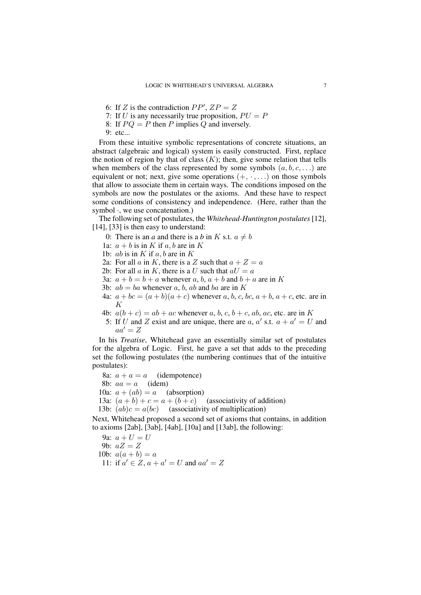- 6: If Z is the contradiction  $PP'$ ,  $ZP = Z$
- 7: If U is any necessarily true proposition,  $PU = P$
- 8: If  $PQ = P$  then P implies Q and inversely.
- 9: etc...

From these intuitive symbolic representations of concrete situations, an abstract (algebraic and logical) system is easily constructed. First, replace the notion of region by that of class  $(K)$ ; then, give some relation that tells when members of the class represented by some symbols  $(a, b, c, \ldots)$  are equivalent or not; next, give some operations  $(+, \cdot, ...)$  on those symbols that allow to associate them in certain ways. The conditions imposed on the symbols are now the postulates or the axioms. And these have to respect some conditions of consistency and independence. (Here, rather than the symbol  $\cdot$ , we use concatenation.)

The following set of postulates, the *Whitehead-Huntington postulates*[12], [14], [33] is then easy to understand:

- 0: There is an *a* and there is a *b* in K s.t.  $a \neq b$
- 1a:  $a + b$  is in K if a, b are in K
- 1b: *ab* is in  $K$  if  $a, b$  are in  $K$
- 2a: For all a in K, there is a Z such that  $a + Z = a$
- 2b: For all a in K, there is a U such that  $aU = a$
- 3a:  $a + b = b + a$  whenever a, b,  $a + b$  and  $b + a$  are in K
- 3b:  $ab = ba$  whenever a, b, ab and ba are in K
- 4a:  $a + bc = (a + b)(a + c)$  whenever a, b, c, bc,  $a + b$ ,  $a + c$ , etc. are in K
- 4b:  $a(b + c) = ab + ac$  whenever a, b, c, b + c, ab, ac, etc. are in K
- 5: If U and Z exist and are unique, there are a, a' s.t.  $a + a' = U$  and  $aa' = Z$

In his *Treatise*, Whitehead gave an essentially similar set of postulates for the algebra of Logic. First, he gave a set that adds to the preceding set the following postulates (the numbering continues that of the intuitive postulates):

8a:  $a + a = a$  (idempotence) 8b:  $aa = a$  (idem) 10a:  $a + (ab) = a$  (absorption) 13a:  $(a + b) + c = a + (b + c)$  (associativity of addition) 13b:  $(ab)c = a(bc)$  (associativity of multiplication)

Next, Whitehead proposed a second set of axioms that contains, in addition to axioms [2ab], [3ab], [4ab], [10a] and [13ab], the following:

9a:  $a + U = U$ 9b:  $aZ = Z$ 10b:  $a(a + b) = a$ 11: if  $a' \in Z$ ,  $a + a' = U$  and  $aa' = Z$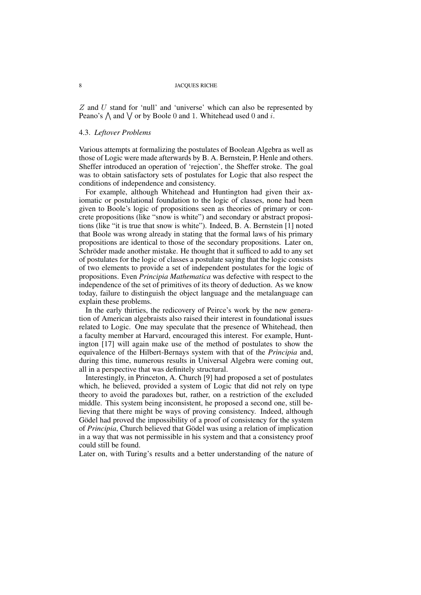$Z$  and  $U$  stand for 'null' and 'universe' which can also be represented by Peano's  $\bigwedge$  and  $\bigvee$  or by Boole 0 and 1. Whitehead used 0 and i.

### 4.3. *Leftover Problems*

Various attempts at formalizing the postulates of Boolean Algebra as well as those of Logic were made afterwards by B. A. Bernstein, P. Henle and others. Sheffer introduced an operation of 'rejection', the Sheffer stroke. The goal was to obtain satisfactory sets of postulates for Logic that also respect the conditions of independence and consistency.

For example, although Whitehead and Huntington had given their axiomatic or postulational foundation to the logic of classes, none had been given to Boole's logic of propositions seen as theories of primary or concrete propositions (like "snow is white") and secondary or abstract propositions (like "it is true that snow is white"). Indeed, B. A. Bernstein [1] noted that Boole was wrong already in stating that the formal laws of his primary propositions are identical to those of the secondary propositions. Later on, Schröder made another mistake. He thought that it sufficed to add to any set of postulates for the logic of classes a postulate saying that the logic consists of two elements to provide a set of independent postulates for the logic of propositions. Even *Principia Mathematica* was defective with respect to the independence of the set of primitives of its theory of deduction. As we know today, failure to distinguish the object language and the metalanguage can explain these problems.

In the early thirties, the redicovery of Peirce's work by the new generation of American algebraists also raised their interest in foundational issues related to Logic. One may speculate that the presence of Whitehead, then a faculty member at Harvard, encouraged this interest. For example, Huntington [17] will again make use of the method of postulates to show the equivalence of the Hilbert-Bernays system with that of the *Principia* and, during this time, numerous results in Universal Algebra were coming out, all in a perspective that was definitely structural.

Interestingly, in Princeton, A. Church [9] had proposed a set of postulates which, he believed, provided a system of Logic that did not rely on type theory to avoid the paradoxes but, rather, on a restriction of the excluded middle. This system being inconsistent, he proposed a second one, still believing that there might be ways of proving consistency. Indeed, although Gödel had proved the impossibility of a proof of consistency for the system of *Principia*, Church believed that Gödel was using a relation of implication in a way that was not permissible in his system and that a consistency proof could still be found.

Later on, with Turing's results and a better understanding of the nature of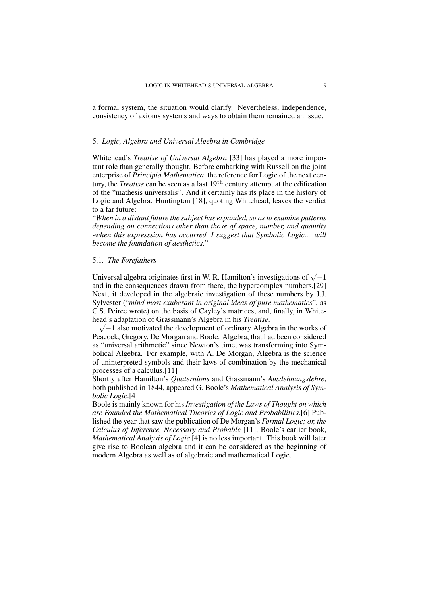a formal system, the situation would clarify. Nevertheless, independence, consistency of axioms systems and ways to obtain them remained an issue.

## 5. *Logic, Algebra and Universal Algebra in Cambridge*

Whitehead's *Treatise of Universal Algebra* [33] has played a more important role than generally thought. Before embarking with Russell on the joint enterprise of *Principia Mathematica*, the reference for Logic of the next century, the *Treatise* can be seen as a last 19th century attempt at the edification of the "mathesis universalis". And it certainly has its place in the history of Logic and Algebra. Huntington [18], quoting Whitehead, leaves the verdict to a far future:

"*When in a distant future the subject has expanded, so as to examine patterns depending on connections other than those of space, number, and quantity -when this expresssion has occurred, I suggest that Symbolic Logic... will become the foundation of aesthetics.*"

### 5.1. *The Forefathers*

Universal algebra originates first in W. R. Hamilton's investigations of  $\sqrt{-1}$ and in the consequences drawn from there, the hypercomplex numbers.[29] Next, it developed in the algebraic investigation of these numbers by J.J. Sylvester ("*mind most exuberant in original ideas of pure mathematics*", as C.S. Peirce wrote) on the basis of Cayley's matrices, and, finally, in Whitehead' s adaptation of Grassmann's Algebra in his *Treatise*.

 $\sqrt{-1}$  also motivated the development of ordinary Algebra in the works of Peacock, Gregory, De Morgan and Boole. Algebra, that had been considered as "universal arithmetic" since Newton's time, was transforming into Symbolical Algebra. For example, with A. De Morgan, Algebra is the science of uninterpreted symbols and their laws of combination by the mechanical processes of a calculus.[11]

Shortly after Hamilton's *Quaternions* and Grassmann's *Ausdehnungslehre*, both published in 1844, appeared G. Boole's *Mathematical Analysis of Symbolic Logic*.[4]

Boole is mainly known for his *Investigation of the Laws of Thought on which are Founded the Mathematical Theories of Logic and Probabilities*.[6] Published the year that saw the publication of De Morgan's *Formal Logic; or, the Calculus of Inference, Necessary and Probable* [11], Boole's earlier book, *Mathematical Analysis of Logic* [4] is no less important. This book will later give rise to Boolean algebra and it can be considered as the beginning of modern Algebra as well as of algebraic and mathematical Logic.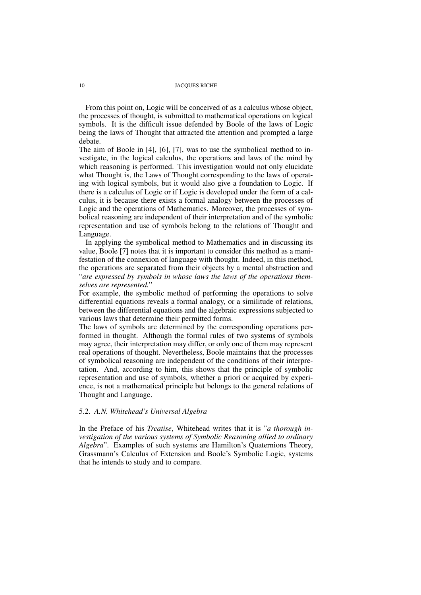From this point on, Logic will be conceived of as a calculus whose object, the processes of thought, is submitted to mathematical operations on logical symbols. It is the difficult issue defended by Boole of the laws of Logic being the laws of Thought that attracted the attention and prompted a large debate.

The aim of Boole in [4], [6], [7], was to use the symbolical method to investigate, in the logical calculus, the operations and laws of the mind by which reasoning is performed. This investigation would not only elucidate what Thought is, the Laws of Thought corresponding to the laws of operating with logical symbols, but it would also give a foundation to Logic. If there is a calculus of Logic or if Logic is developed under the form of a calculus, it is because there exists a formal analogy between the processes of Logic and the operations of Mathematics. Moreover, the processes of symbolical reasoning are independent of their interpretation and of the symbolic representation and use of symbols belong to the relations of Thought and Language.

In applying the symbolical method to Mathematics and in discussing its value, Boole [7] notes that it is important to consider this method as a manifestation of the connexion of language with thought. Indeed, in this method, the operations are separated from their objects by a mental abstraction and "*are expressed by symbols in whose laws the laws of the operations themselves are represented.*"

For example, the symbolic method of performing the operations to solve differential equations reveals a formal analogy, or a similitude of relations, between the differential equations and the algebraic expressions subjected to various laws that determine their permitted forms.

The laws of symbols are determined by the corresponding operations performed in thought. Although the formal rules of two systems of symbols may agree, their interpretation may differ, or only one of them may represent real operations of thought. Nevertheless, Boole maintains that the processes of symbolical reasoning are independent of the conditions of their interpretation. And, according to him, this shows that the principle of symbolic representation and use of symbols, whether a priori or acquired by experience, is not a mathematical principle but belongs to the general relations of Thought and Language.

## 5.2. *A.N. Whitehead's Universal Algebra*

In the Preface of his *Treatise*, Whitehead writes that it is "*a thorough investigation of the various systems of Symbolic Reasoning allied to ordinary Algebra*". Examples of such systems are Hamilton's Quaternions Theory, Grassmann's Calculus of Extension and Boole's Symbolic Logic, systems that he intends to study and to compare.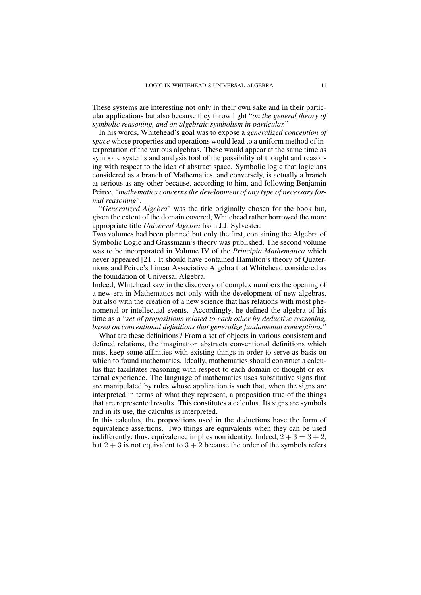These systems are interesting not only in their own sake and in their particular applications but also because they throw light "*on the general theory of symbolic reasoning, and on algebraic symbolism in particular.*"

In his words, Whitehead's goal was to expose a *generalized conception of space* whose properties and operations would lead to a uniform method of interpretation of the various algebras. These would appear at the same time as symbolic systems and analysis tool of the possibility of thought and reasoning with respect to the idea of abstract space. Symbolic logic that logicians considered as a branch of Mathematics, and conversely, is actually a branch as serious as any other because, according to him, and following Benjamin Peirce, "*mathematics concerns the development of any type of necessary formal reasoning*".

"*Generalized Algebra*" was the title originally chosen for the book but, given the extent of the domain covered, Whitehead rather borrowed the more appropriate title *Universal Algebra* from J.J. Sylvester.

Two volumes had been planned but only the first, containing the Algebra of Symbolic Logic and Grassmann's theory was published. The second volume was to be incorporated in Volume IV of the *Principia Mathematica* which never appeared [21]. It should have contained Hamilton's theory of Quaternions and Peirce's Linear Associative Algebra that Whitehead considered as the foundation of Universal Algebra.

Indeed, Whitehead saw in the discovery of complex numbers the opening of a new era in Mathematics not only with the development of new algebras, but also with the creation of a new science that has relations with most phenomenal or intellectual events. Accordingly, he defined the algebra of his time as a "*set of propositions related to each other by deductive reasoning, based on conventional definitions that generalize fundamental conceptions."*

What are these definitions? From a set of objects in various consistent and defined relations, the imagination abstracts conventional definitions which must keep some affinities with existing things in order to serve as basis on which to found mathematics. Ideally, mathematics should construct a calculus that facilitates reasoning with respect to each domain of thought or external experience. The language of mathematics uses substitutive signs that are manipulated by rules whose application is such that, when the signs are interpreted in terms of what they represent, a proposition true of the things that are represented results. This constitutes a calculus. Its signs are symbols and in its use, the calculus is interpreted.

In this calculus, the propositions used in the deductions have the form of equivalence assertions. Two things are equivalents when they can be used indifferently; thus, equivalence implies non identity. Indeed,  $2 + 3 = 3 + 2$ , but  $2 + 3$  is not equivalent to  $3 + 2$  because the order of the symbols refers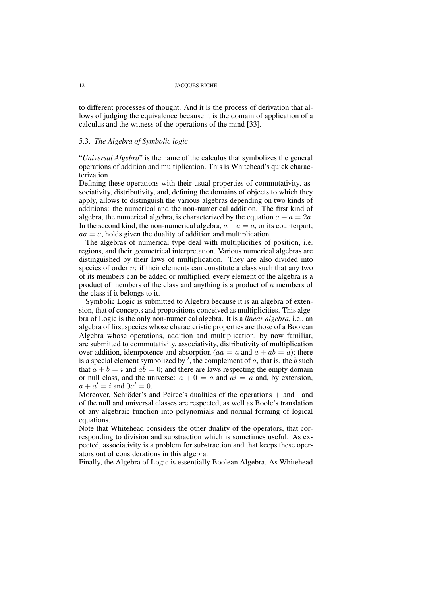to different processes of thought. And it is the process of derivation that allows of judging the equivalence because it is the domain of application of a calculus and the witness of the operations of the mind [33].

## 5.3. *The Algebra of Symbolic logic*

"*Universal Algebra*" is the name of the calculus that symbolizes the general operations of addition and multiplication. This is Whitehead's quick characterization.

Defining these operations with their usual properties of commutativity, associativity, distributivity, and, defining the domains of objects to which they apply, allows to distinguish the various algebras depending on two kinds of additions: the numerical and the non-numerical addition. The first kind of algebra, the numerical algebra, is characterized by the equation  $a + a = 2a$ . In the second kind, the non-numerical algebra,  $a + a = a$ , or its counterpart,  $aa = a$ , holds given the duality of addition and multiplication.

The algebras of numerical type deal with multiplicities of position, i.e. regions, and their geometrical interpretation. Various numerical algebras are distinguished by their laws of multiplication. They are also divided into species of order  $n$ : if their elements can constitute a class such that any two of its members can be added or multiplied, every element of the algebra is a product of members of the class and anything is a product of  $n$  members of the class if it belongs to it.

Symbolic Logic is submitted to Algebra because it is an algebra of extension, that of concepts and propositions conceived as multiplicities. This algebra of Logic is the only non-numerical algebra. It is a *linear algebra*, i.e., an algebra of first species whose characteristic properties are those of a Boolean Algebra whose operations, addition and multiplication, by now familiar, are submitted to commutativity, associativity, distributivity of multiplication over addition, idempotence and absorption ( $aa = a$  and  $a + ab = a$ ); there is a special element symbolized by  $'$ , the complement of  $a$ , that is, the  $b$  such that  $a + b = i$  and  $ab = 0$ ; and there are laws respecting the empty domain or null class, and the universe:  $a + 0 = a$  and  $ai = a$  and, by extension,  $a + a' = i$  and  $0a' = 0$ .

Moreover, Schröder's and Peirce's dualities of the operations  $+$  and  $\cdot$  and of the null and universal classes are respected, as well as Boole's translation of any algebraic function into polynomials and normal forming of logical equations.

Note that Whitehead considers the other duality of the operators, that corresponding to division and substraction which is sometimes useful. As expected, associativity is a problem for substraction and that keeps these operators out of considerations in this algebra.

Finally, the Algebra of Logic is essentially Boolean Algebra. As Whitehead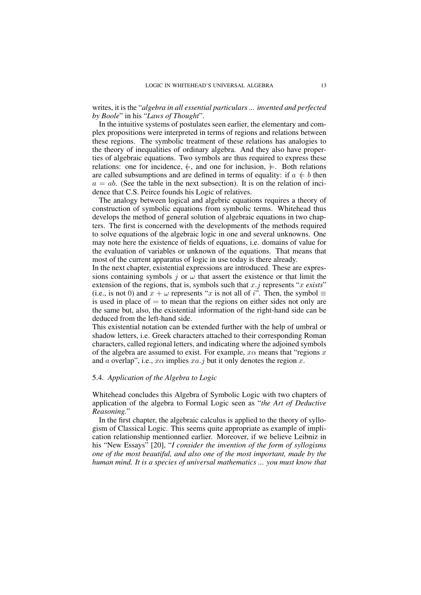writes, it is the "*algebra in all essential particulars ... invented and perfected by Boole*" in his "*Laws of Thought*".

In the intuitive systems of postulates seen earlier, the elementary and complex propositions were interpreted in terms of regions and relations between these regions. The symbolic treatment of these relations has analogies to the theory of inequalities of ordinary algebra. And they also have properties of algebraic equations. Two symbols are thus required to express these relations: one for incidence,  $\neq$ , and one for inclusion,  $\neq$ . Both relations are called subsumptions and are defined in terms of equality: if  $a \neq b$  then  $a = ab$ . (See the table in the next subsection). It is on the relation of incidence that C.S. Peirce founds his Logic of relatives.

The analogy between logical and algebric equations requires a theory of construction of symbolic equations from symbolic terms. Whitehead thus develops the method of general solution of algebraic equations in two chapters. The first is concerned with the developments of the methods required to solve equations of the algebraic logic in one and several unknowns. One may note here the existence of fields of equations, i.e. domains of value for the evaluation of variables or unknown of the equations. That means that most of the current apparatus of logic in use today is there already.

In the next chapter, existential expressions are introduced. These are expressions containing symbols j or  $\omega$  that assert the existence or that limit the extension of the regions, that is, symbols such that x.j represents "x *exists*" (i.e., is not 0) and  $\overline{x} + \omega$  represents "x is not all of i". Then, the symbol  $\equiv$ is used in place of  $=$  to mean that the regions on either sides not only are the same but, also, the existential information of the right-hand side can be deduced from the left-hand side.

This existential notation can be extended further with the help of umbral or shadow letters, i.e. Greek characters attached to their corresponding Roman characters, called regional letters, and indicating where the adjoined symbols of the algebra are assumed to exist. For example,  $x\alpha$  means that "regions x" and a overlap", i.e.,  $x\alpha$  implies  $xa.$  j but it only denotes the region x.

### 5.4. *Application of the Algebra to Logic*

Whitehead concludes this Algebra of Symbolic Logic with two chapters of application of the algebra to Formal Logic seen as "*the Art of Deductive Reasoning.*"

In the first chapter, the algebraic calculus is applied to the theory of syllogism of Classical Logic. This seems quite appropriate as example of implication relationship mentionned earlier. Moreover, if we believe Leibniz in his "New Essays" [20], "*I consider the invention of the form of syllogisms one of the most beautiful, and also one of the most important, made by the human mind. It is a species of universal mathematics ... you must know that*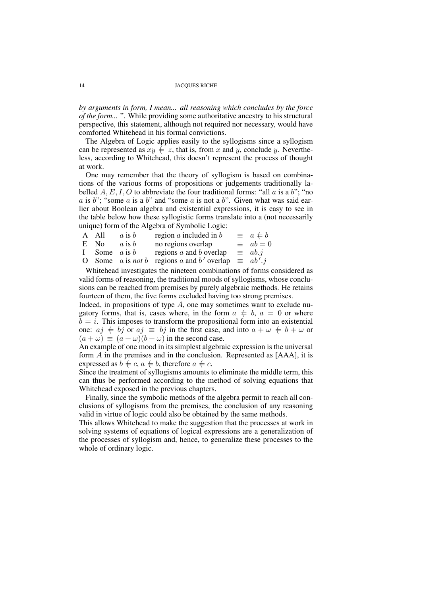*by arguments in form, I mean... all reasoning which concludes by the force of the form...* ". While providing some authoritative ancestry to his structural perspective, this statement, although not required nor necessary, would have comforted Whitehead in his formal convictions.

The Algebra of Logic applies easily to the syllogisms since a syllogism can be represented as  $xy \neq z$ , that is, from x and y, conclude y. Nevertheless, according to Whitehead, this doesn't represent the process of thought at work.

One may remember that the theory of syllogism is based on combinations of the various forms of propositions or judgements traditionally labelled A, E, I, O to abbreviate the four traditional forms: "all a is a b"; "no a is b"; "some a is a b" and "some a is not a b". Given what was said earlier about Boolean algebra and existential expressions, it is easy to see in the table below how these syllogistic forms translate into a (not necessarily unique) form of the Algebra of Symbolic Logic:

| $\equiv a \neq b$                                                |
|------------------------------------------------------------------|
| $\equiv$ $ab = 0$                                                |
| $\equiv$ ab.j                                                    |
| O Some a is <i>not</i> b regions a and b' overlap $\equiv ab'.j$ |
|                                                                  |

Whitehead investigates the nineteen combinations of forms considered as valid forms of reasoning, the traditional moods of syllogisms, whose conclusions can be reached from premises by purely algebraic methods. He retains fourteen of them, the five forms excluded having too strong premises.

Indeed, in propositions of type  $A$ , one may sometimes want to exclude nugatory forms, that is, cases where, in the form  $a \neq b$ ,  $a = 0$  or where  $b = i$ . This imposes to transform the propositional form into an existential one:  $aj \neq bj$  or  $aj \equiv bj$  in the first case, and into  $a + \omega \neq b + \omega$  or  $(a + \omega) \equiv (a + \omega)(b + \omega)$  in the second case.

An example of one mood in its simplest algebraic expression is the universal form A in the premises and in the conclusion. Represented as [AAA], it is expressed as  $b \neq c$ ,  $a \neq b$ , therefore  $a \neq c$ .

Since the treatment of syllogisms amounts to eliminate the middle term, this can thus be performed according to the method of solving equations that Whitehead exposed in the previous chapters.

Finally, since the symbolic methods of the algebra permit to reach all conclusions of syllogisms from the premises, the conclusion of any reasoning valid in virtue of logic could also be obtained by the same methods.

This allows Whitehead to make the suggestion that the processes at work in solving systems of equations of logical expressions are a generalization of the processes of syllogism and, hence, to generalize these processes to the whole of ordinary logic.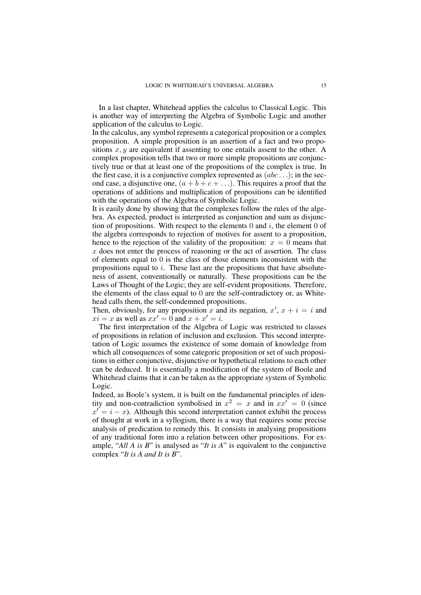In a last chapter, Whitehead applies the calculus to Classical Logic. This is another way of interpreting the Algebra of Symbolic Logic and another application of the calculus to Logic.

In the calculus, any symbol represents a categorical proposition or a complex proposition. A simple proposition is an assertion of a fact and two propositions  $x, y$  are equivalent if assenting to one entails assent to the other. A complex proposition tells that two or more simple propositions are conjunctively true or that at least one of the propositions of the complex is true. In the first case, it is a conjunctive complex represented as  $(abc \dots)$ ; in the second case, a disjunctive one,  $(a + b + c + ...)$ . This requires a proof that the operations of additions and multiplication of propositions can be identified with the operations of the Algebra of Symbolic Logic.

It is easily done by showing that the complexes follow the rules of the algebra. As expected, product is interpreted as conjunction and sum as disjunction of propositions. With respect to the elements  $0$  and  $i$ , the element  $0$  of the algebra corresponds to rejection of motives for assent to a proposition, hence to the rejection of the validity of the proposition:  $x = 0$  means that  $x$  does not enter the process of reasoning or the act of assertion. The class of elements equal to  $\overline{0}$  is the class of those elements inconsistent with the propositions equal to i. These last are the propositions that have absoluteness of assent, conventionally or naturally. These propositions can be the Laws of Thought of the Logic; they are self-evident propositions. Therefore, the elements of the class equal to 0 are the self-contradictory or, as Whitehead calls them, the self-condemned propositions.

Then, obviously, for any proposition x and its negation,  $x'$ ,  $x + i = i$  and  $xi = x$  as well as  $xx' = 0$  and  $x + x' = i$ .

The first interpretation of the Algebra of Logic was restricted to classes of propositions in relation of inclusion and exclusion. This second interpretation of Logic assumes the existence of some domain of knowledge from which all consequences of some categoric proposition or set of such propositions in either conjunctive, disjunctive or hypothetical relations to each other can be deduced. It is essentially a modification of the system of Boole and Whitehead claims that it can be taken as the appropriate system of Symbolic Logic.

Indeed, as Boole's system, it is built on the fundamental principles of identity and non-contradiction symbolised in  $x^2 = x$  and in  $xx' = 0$  (since  $x' = i - x$ ). Although this second interpretation cannot exhibit the process of thought at work in a syllogism, there is a way that requires some precise analysis of predication to remedy this. It consists in analysing propositions of any traditional form into a relation between other propositions. For example, "*All A is B*" is analysed as "*It is A*" is equivalent to the conjunctive complex "*It is A and It is B*".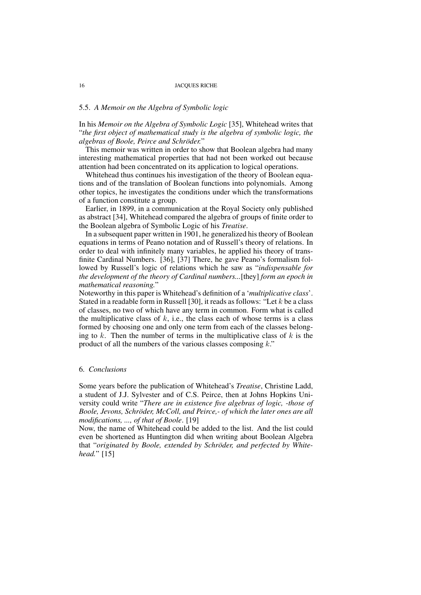# 5.5. *A Memoir on the Algebra of Symbolic logic*

In his *Memoir on the Algebra of Symbolic Logic* [35], Whitehead writes that "*the first object of mathematical study is the algebra of symbolic logic, the algebras of Boole, Peirce and Schröder.*"

This memoir was written in order to show that Boolean algebra had many interesting mathematical properties that had not been worked out because attention had been concentrated on its application to logical operations.

Whitehead thus continues his investigation of the theory of Boolean equations and of the translation of Boolean functions into polynomials. Among other topics, he investigates the conditions under which the transformations of a function constitute a group.

Earlier, in 1899, in a communication at the Royal Society only published as abstract [34], Whitehead compared the algebra of groups of finite order to the Boolean algebra of Symbolic Logic of his *Treatise*.

In a subsequent paper written in 1901, he generalized his theory of Boolean equations in terms of Peano notation and of Russell's theory of relations. In order to deal with infinitely many variables, he applied his theory of transfinite Cardinal Numbers. [36], [37] There, he gave Peano's formalism followed by Russell's logic of relations which he saw as "*indispensable for the development of the theory of Cardinal numbers...*[they] *form an epoch in mathematical reasoning.*"

Noteworthy in this paper is Whitehead's definition of a '*multiplicative class*'. Stated in a readable form in Russell [30], it reads as follows: "Let  $k$  be a class of classes, no two of which have any term in common. Form what is called the multiplicative class of  $k$ , i.e., the class each of whose terms is a class formed by choosing one and only one term from each of the classes belonging to k. Then the number of terms in the multiplicative class of  $k$  is the product of all the numbers of the various classes composing  $k$ ."

# 6. *Conclusions*

Some years before the publication of Whitehead's *Treatise*, Christine Ladd, a student of J.J. Sylvester and of C.S. Peirce, then at Johns Hopkins University could write "*There are in existence five algebras of logic, -those of Boole, Jevons, Schröder, McColl, and Peirce,- of which the later ones are all modifications, ..., of that of Boole*. [19]

Now, the name of Whitehead could be added to the list. And the list could even be shortened as Huntington did when writing about Boolean Algebra that "*originated by Boole, extended by Schröder, and perfected by Whitehead.*" [15]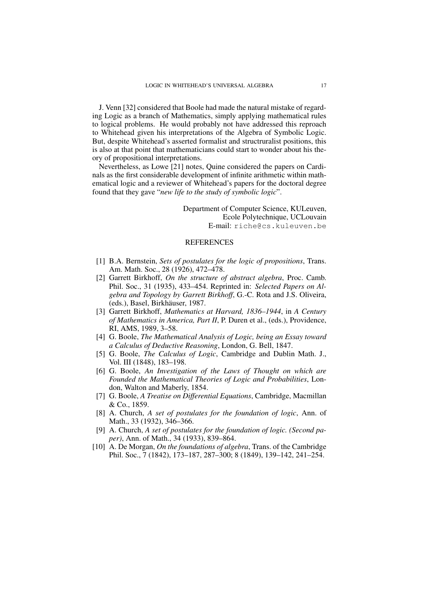J. Venn [32] considered that Boole had made the natural mistake of regarding Logic as a branch of Mathematics, simply applying mathematical rules to logical problems. He would probably not have addressed this reproach to Whitehead given his interpretations of the Algebra of Symbolic Logic. But, despite Whitehead's asserted formalist and structruralist positions, this is also at that point that mathematicians could start to wonder about his theory of propositional interpretations.

Nevertheless, as Lowe [21] notes, Quine considered the papers on Cardinals as the first considerable development of infinite arithmetic within mathematical logic and a reviewer of Whitehead's papers for the doctoral degree found that they gave "*new life to the study of symbolic logic*".

> Department of Computer Science, KULeuven, Ecole Polytechnique, UCLouvain E-mail: riche@cs.kuleuven.be

# REFERENCES

- [1] B.A. Bernstein, *Sets of postulates for the logic of propositions*, Trans. Am. Math. Soc., 28 (1926), 472–478.
- [2] Garrett Birkhoff, *On the structure of abstract algebra*, Proc. Camb. Phil. Soc., 31 (1935), 433–454. Reprinted in: *Selected Papers on Algebra and Topology by Garrett Birkhoff*, G.-C. Rota and J.S. Oliveira, (eds.), Basel, Birkhäuser, 1987.
- [3] Garrett Birkhoff, *Mathematics at Harvard, 1836–1944*, in *A Century of Mathematics in America, Part II*, P. Duren et al., (eds.), Providence, RI, AMS, 1989, 3–58.
- [4] G. Boole, *The Mathematical Analysis of Logic, being an Essay toward a Calculus of Deductive Reasoning*, London, G. Bell, 1847.
- [5] G. Boole, *The Calculus of Logic*, Cambridge and Dublin Math. J., Vol. III (1848), 183–198.
- [6] G. Boole, *An Investigation of the Laws of Thought on which are Founded the Mathematical Theories of Logic and Probabilities*, London, Walton and Maberly, 1854.
- [7] G. Boole, *A Treatise on Differential Equations*, Cambridge, Macmillan & Co., 1859.
- [8] A. Church, *A set of postulates for the foundation of logic*, Ann. of Math., 33 (1932), 346–366.
- [9] A. Church, *A set of postulates for the foundation of logic. (Second paper)*, Ann. of Math., 34 (1933), 839–864.
- [10] A. De Morgan, *On the foundations of algebra*, Trans. of the Cambridge Phil. Soc., 7 (1842), 173–187, 287–300; 8 (1849), 139–142, 241–254.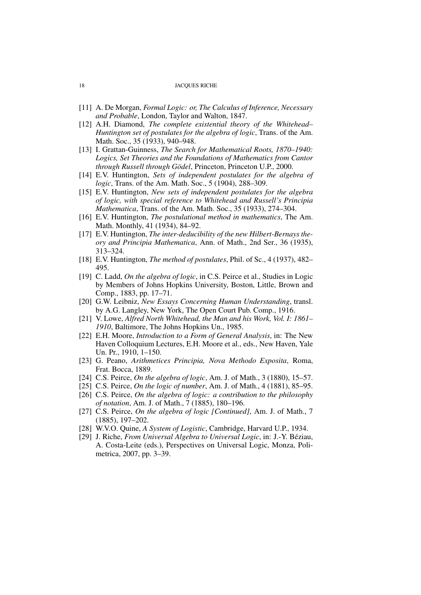- [11] A. De Morgan, *Formal Logic: or, The Calculus of Inference, Necessary and Probable*, London, Taylor and Walton, 1847.
- [12] A.H. Diamond, *The complete existential theory of the Whitehead– Huntington set of postulates for the algebra of logic*, Trans. of the Am. Math. Soc., 35 (1933), 940–948.
- [13] I. Grattan-Guinness, *The Search for Mathematical Roots, 1870–1940: Logics, Set Theories and the Foundations of Mathematics from Cantor through Russell through Gödel*, Princeton, Princeton U.P., 2000.
- [14] E.V. Huntington, *Sets of independent postulates for the algebra of logic*, Trans. of the Am. Math. Soc., 5 (1904), 288–309.
- [15] E.V. Huntington, *New sets of independent postulates for the algebra of logic, with special reference to Whitehead and Russell's Principia Mathematica*, Trans. of the Am. Math. Soc., 35 (1933), 274–304.
- [16] E.V. Huntington, *The postulational method in mathematics*, The Am. Math. Monthly, 41 (1934), 84–92.
- [17] E.V. Huntington, *The inter-deducibility of the new Hilbert-Bernays theory and Principia Mathematica*, Ann. of Math., 2nd Ser., 36 (1935), 313–324.
- [18] E.V. Huntington, *The method of postulates*, Phil. of Sc., 4 (1937), 482– 495.
- [19] C. Ladd, *On the algebra of logic*, in C.S. Peirce et al., Studies in Logic by Members of Johns Hopkins University, Boston, Little, Brown and Comp., 1883, pp. 17–71.
- [20] G.W. Leibniz, *New Essays Concerning Human Understanding*, transl. by A.G. Langley, New York, The Open Court Pub. Comp., 1916.
- [21] V. Lowe, *Alfred North Whitehead, the Man and his Work, Vol. I: 1861– 1910*, Baltimore, The Johns Hopkins Un., 1985.
- [22] E.H. Moore, *Introduction to a Form of General Analysis*, in: The New Haven Colloquium Lectures, E.H. Moore et al., eds., New Haven, Yale Un. Pr., 1910, 1–150.
- [23] G. Peano, *Arithmetices Principia, Nova Methodo Exposita*, Roma, Frat. Bocca, 1889.
- [24] C.S. Peirce, *On the algebra of logic*, Am. J. of Math., 3 (1880), 15–57.
- [25] C.S. Peirce, *On the logic of number*, Am. J. of Math., 4 (1881), 85–95.
- [26] C.S. Peirce, *On the algebra of logic: a contribution to the philosophy of notation*, Am. J. of Math., 7 (1885), 180–196.
- [27] C.S. Peirce, *On the algebra of logic [Continued]*, Am. J. of Math., 7 (1885), 197–202.
- [28] W.V.O. Quine, *A System of Logistic*, Cambridge, Harvard U.P., 1934.
- [29] J. Riche, *From Universal Algebra to Universal Logic*, in: J.-Y. Béziau, A. Costa-Leite (eds.), Perspectives on Universal Logic, Monza, Polimetrica, 2007, pp. 3–39.